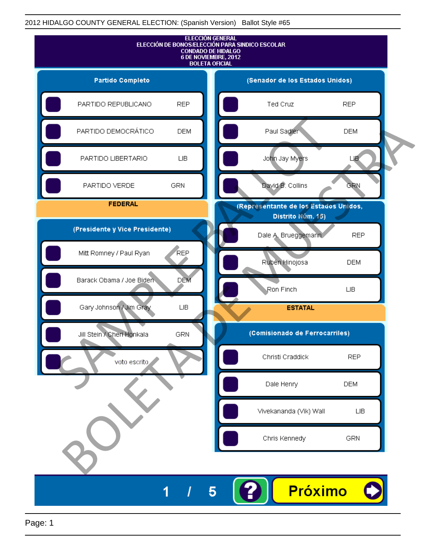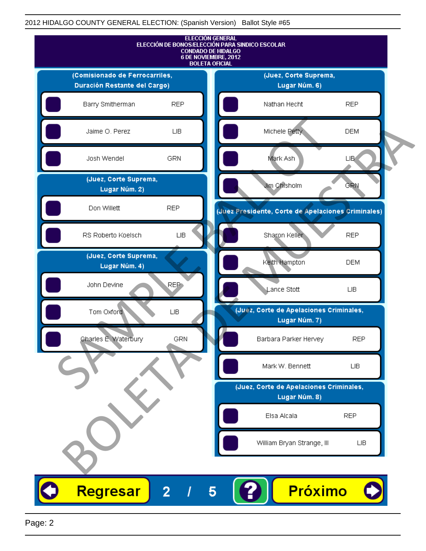

Page: 2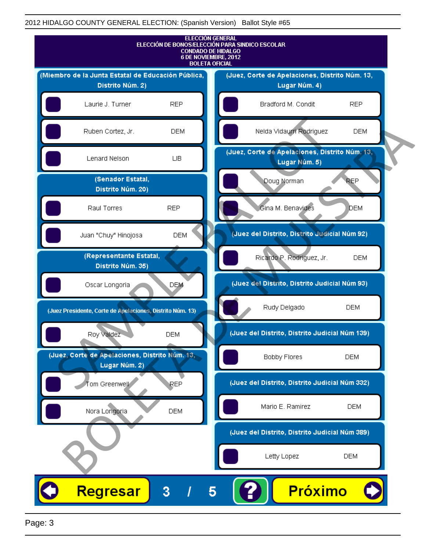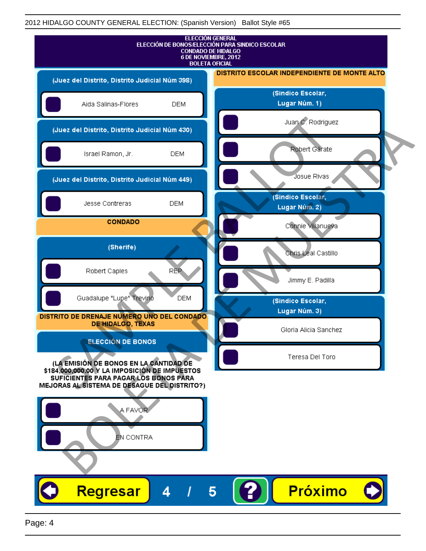|                                                                                                                                                                                                              | <b>ELECCIÓN GENERAL</b><br>ELECCIÓN DE BONOS/ELECCIÓN PARA SINDICO ESCOLAR<br><b>CONDADO DE HIDALGO</b><br>6 DE NOVIEMBRE, 2012<br><b>BOLETA OFICIAL</b> |
|--------------------------------------------------------------------------------------------------------------------------------------------------------------------------------------------------------------|----------------------------------------------------------------------------------------------------------------------------------------------------------|
| (Juez del Distrito, Distrito Judicial Núm 398)                                                                                                                                                               | DISTRITO ESCOLAR INDEPENDIENTE DE MONTE ALTO                                                                                                             |
| Aida Salinas-Flores<br><b>DEM</b>                                                                                                                                                                            | (Sindico Escolar,<br>Lugar Núm. 1)                                                                                                                       |
| (Juez del Distrito, Distrito Judicial Núm 430)                                                                                                                                                               | Juan C. Rodriguez                                                                                                                                        |
| Israel Ramon, Jr.<br><b>DEM</b>                                                                                                                                                                              | Robert Gárate                                                                                                                                            |
| (Juez del Distrito, Distrito Judicial Núm 449)                                                                                                                                                               | Josue Rivas                                                                                                                                              |
| Jesse Contreras<br><b>DEM</b>                                                                                                                                                                                | (Sindico Escolar,<br>Lugar Núm. 2)                                                                                                                       |
| <b>CONDADO</b>                                                                                                                                                                                               | Connie Villanueva                                                                                                                                        |
| (Sherife)                                                                                                                                                                                                    | Chris Leal Castillo                                                                                                                                      |
| <b>REP</b><br>Robert Caples                                                                                                                                                                                  | Jimmy E. Padilla                                                                                                                                         |
| Guadalupe "Lupe" Trevino<br><b>DEM</b>                                                                                                                                                                       | (Sindico Escolar,                                                                                                                                        |
| DISTRITO DE DRENAJE NUMERO UNO DEL CONDADO<br><b>DE HIDALGO, TEXAS</b>                                                                                                                                       | Lugar Núm. 3)<br>Gloria Alicia Sanchez                                                                                                                   |
| <b>ELECCIÓN DE BONOS</b><br>(LA EMISIÓN DE BONOS EN LA CANTIDAD DE<br>\$184,000,000.00 Y LA IMPOSICIÓN DE IMPUESTOS<br>SUFICIENTES PARA PAGAR LOS BONOS PARA<br>MEJORAS AL SISTEMA DE DESAGUE DEL DISTRITO?) | Teresa Del Toro                                                                                                                                          |
| A FAVOR<br>EN CONTRA                                                                                                                                                                                         |                                                                                                                                                          |
| <b>Regresar</b><br>4                                                                                                                                                                                         | <b>Próximo</b><br>5                                                                                                                                      |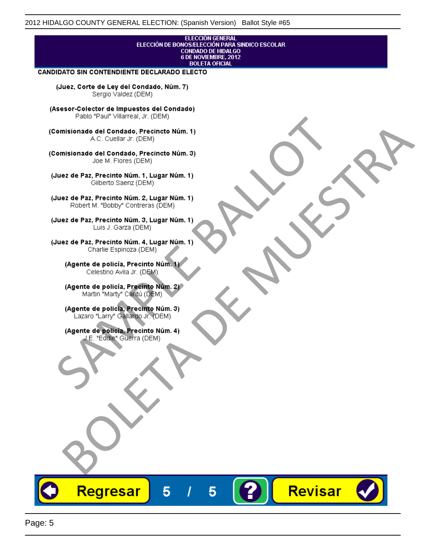## **ELECCIÓN GENERAL** ELECCIÓN DE BONOS/ELECCIÓN PARA SINDICO ESCOLAR<br>CONDADO DE HIDALGO<br>6 DE NOVIEMBRE, 2012 **BOLETA OFICIAL**

Revisar

### CANDIDATO SIN CONTENDIENTE DECLARADO ELECTO

(Juez, Corte de Ley del Condado, Núm. 7) Sergio Valdez (DEM)

(Asesor-Colector de Impuestos del Condado)

Fallo Fall Willdrea, J.I. (DEM)<br>
Consistionado el Condado, Precincto Núm. 1)<br>
A.C. Cuellar Jr. (DEM)<br>
Ullez de Paz, Precinto Núm. 1)<br>
Juez de Paz, Precinto Núm. 1, Lugar Núm. 1)<br>
Gilberto Sentr (DEM)<br>
Robert M. "Bobby" Con misionado del Condiado, Precincto Núm. 1)<br>
Andro del Condiado, Precincto Núm. 3)<br>
ez de Paz, Precinto Núm. 21<br>
algo M. Picer Lo Saerz, (CIEM)<br>
algo M. Picer Lo Saerz, (CIEM)<br>
algo M. Picer Lo Saerz, (CIEM)<br>
ez de Paz, Prec

Regresar

5

5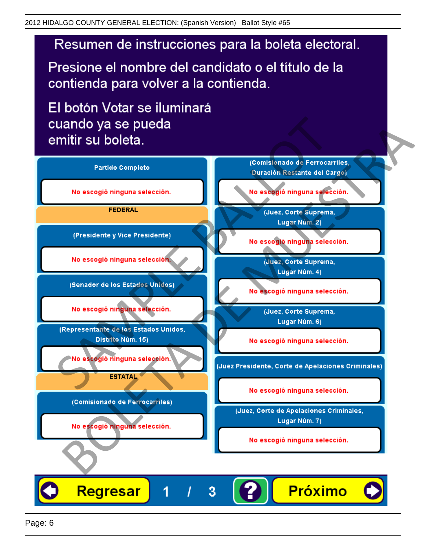# Resumen de instrucciones para la boleta electoral.

Presione el nombre del candidato o el título de la contienda para volver a la contienda.

El botón Votar se iluminará

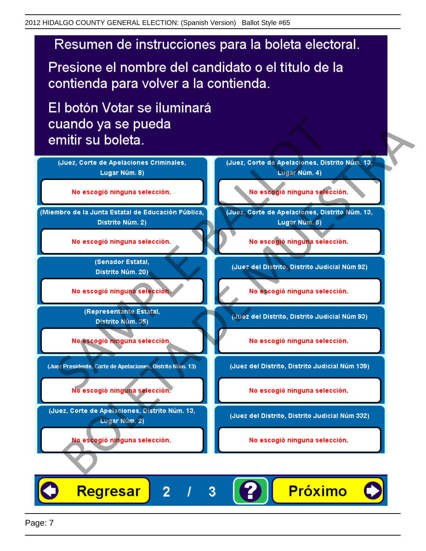# Resumen de instrucciones para la boleta electoral.

Presione el nombre del candidato o el título de la contienda para volver a la contienda.

El botón Votar se iluminará